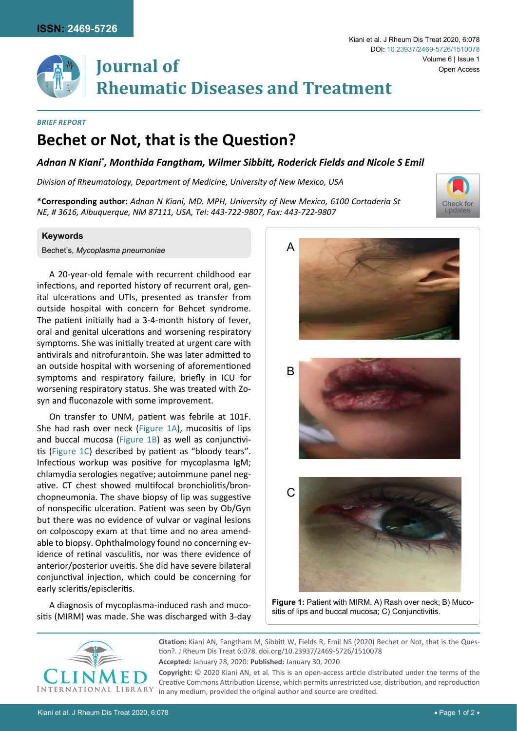

# **Journal of Rheumatic Diseases and Treatment**

#### *Brief Report*

## **Bechet or Not, that is the Question?**

### *Adnan N Kiani\* , Monthida Fangtham, Wilmer Sibbitt, Roderick Fields and Nicole S Emil*

<span id="page-0-0"></span>Ĩ

*Division of Rheumatology, Department of Medicine, University of New Mexico, USA*

**\*Corresponding author:** *Adnan N Kiani, MD. MPH, University of New Mexico, 6100 Cortaderia St NE, # 3616, Albuquerque, NM 87111, USA, Tel: 443-722-9807, Fax: 443-722-9807*



Bechet's, *Mycoplasma pneumoniae*

A 20-year-old female with recurrent childhood ear infections, and reported history of recurrent oral, genital ulcerations and UTIs, presented as transfer from outside hospital with concern for Behcet syndrome. The patient initially had a 3-4-month history of fever, oral and genital ulcerations and worsening respiratory symptoms. She was initially treated at urgent care with antivirals and nitrofurantoin. She was later admitted to an outside hospital with worsening of aforementioned symptoms and respiratory failure, briefly in ICU for worsening respiratory status. She was treated with Zosyn and fluconazole with some improvement.

On transfer to UNM, patient was febrile at 101F. She had rash over neck [\(Figure 1A\)](#page-0-0), mucositis of lips and buccal mucosa ([Figure 1B\)](#page-0-0) as well as conjunctivitis ([Figure 1C\)](#page-0-0) described by patient as "bloody tears". Infectious workup was positive for mycoplasma IgM; chlamydia serologies negative; autoimmune panel negative. CT chest showed multifocal bronchiolitis/bronchopneumonia. The shave biopsy of lip was suggestive of nonspecific ulceration. Patient was seen by Ob/Gyn but there was no evidence of vulvar or vaginal lesions on colposcopy exam at that time and no area amendable to biopsy. Ophthalmology found no concerning evidence of retinal vasculitis, nor was there evidence of anterior/posterior uveitis. She did have severe bilateral conjunctival injection, which could be concerning for early scleritis/episcleritis.

A diagnosis of mycoplasma-induced rash and mucositis (MIRM) was made. She was discharged with 3-day









**Figure 1:** Patient with MIRM. A) Rash over neck; B) Mucositis of lips and buccal mucosa; C) Conjunctivitis.



**Citation:** Kiani AN, Fangtham M, Sibbitt W, Fields R, Emil NS (2020) Bechet or Not, that is the Question?. J Rheum Dis Treat 6:078. [doi.org/10.23937/2469-5726/1510078](https://doi.org/10.23937/2469-5726/1510078) **Accepted:** January 28, 2020: **Published:** January 30, 2020 **Copyright:** © 2020 Kiani AN, et al. This is an open-access article distributed under the terms of the

Creative Commons Attribution License, which permits unrestricted use, distribution, and reproduction in any medium, provided the original author and source are credited.